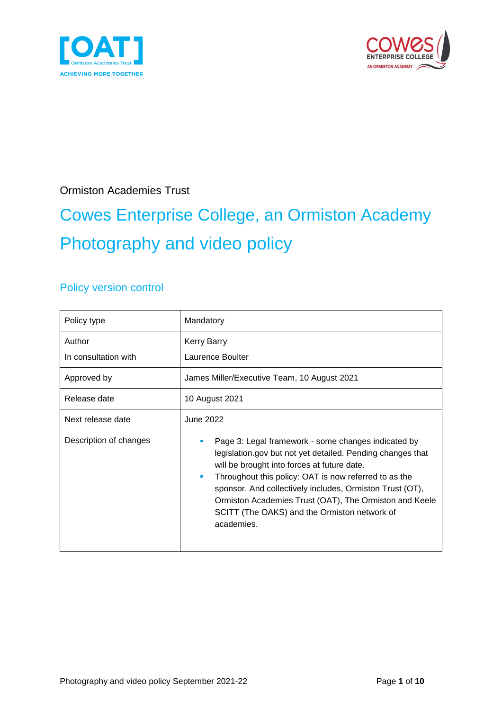



Ormiston Academies Trust

# Cowes Enterprise College, an Ormiston Academy Photography and video policy

#### Policy version control

| Policy type                    | Mandatory                                                                                                                                                                                                                                                                                                                                                                                                          |
|--------------------------------|--------------------------------------------------------------------------------------------------------------------------------------------------------------------------------------------------------------------------------------------------------------------------------------------------------------------------------------------------------------------------------------------------------------------|
| Author<br>In consultation with | Kerry Barry<br>Laurence Boulter                                                                                                                                                                                                                                                                                                                                                                                    |
| Approved by                    | James Miller/Executive Team, 10 August 2021                                                                                                                                                                                                                                                                                                                                                                        |
| Release date                   | 10 August 2021                                                                                                                                                                                                                                                                                                                                                                                                     |
| Next release date              | <b>June 2022</b>                                                                                                                                                                                                                                                                                                                                                                                                   |
| Description of changes         | Page 3: Legal framework - some changes indicated by<br>legislation gov but not yet detailed. Pending changes that<br>will be brought into forces at future date.<br>Throughout this policy: OAT is now referred to as the<br>٠<br>sponsor. And collectively includes, Ormiston Trust (OT),<br>Ormiston Academies Trust (OAT), The Ormiston and Keele<br>SCITT (The OAKS) and the Ormiston network of<br>academies. |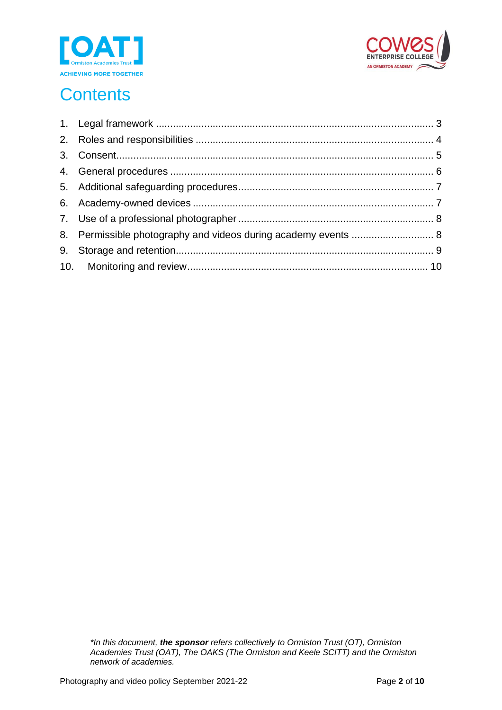



# **Contents**

| 8. Permissible photography and videos during academy events  8 |  |
|----------------------------------------------------------------|--|
|                                                                |  |
|                                                                |  |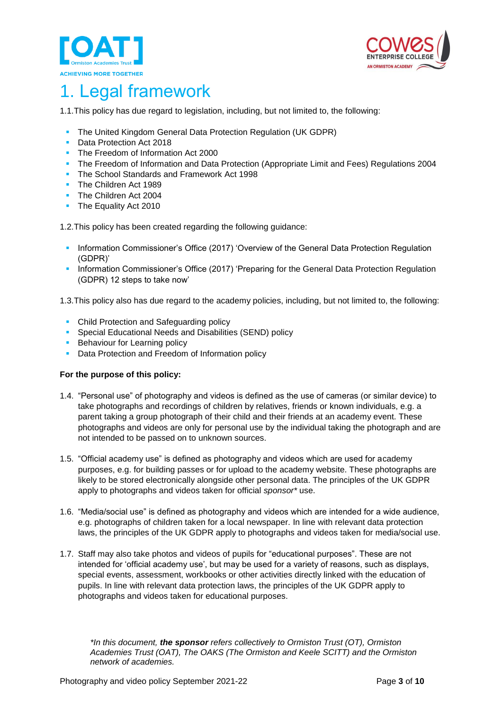



#### <span id="page-2-0"></span>1. Legal framework

1.1.This policy has due regard to legislation, including, but not limited to, the following:

- The United Kingdom General Data Protection Regulation (UK GDPR)
- Data Protection Act 2018
- The Freedom of Information Act 2000
- **The Freedom of Information and Data Protection (Appropriate Limit and Fees) Regulations 2004**
- The School Standards and Framework Act 1998
- The Children Act 1989
- **The Children Act 2004**
- The Equality Act 2010

1.2.This policy has been created regarding the following guidance:

- Information Commissioner's Office (2017) 'Overview of the General Data Protection Regulation (GDPR)'
- Information Commissioner's Office (2017) 'Preparing for the General Data Protection Regulation (GDPR) 12 steps to take now'

1.3.This policy also has due regard to the academy policies, including, but not limited to, the following:

- Child Protection and Safeguarding policy
- Special Educational Needs and Disabilities (SEND) policy
- **E** Behaviour for Learning policy
- **Data Protection and Freedom of Information policy**

#### **For the purpose of this policy:**

- 1.4. "Personal use" of photography and videos is defined as the use of cameras (or similar device) to take photographs and recordings of children by relatives, friends or known individuals, e.g. a parent taking a group photograph of their child and their friends at an academy event. These photographs and videos are only for personal use by the individual taking the photograph and are not intended to be passed on to unknown sources.
- 1.5. "Official academy use" is defined as photography and videos which are used for academy purposes, e.g. for building passes or for upload to the academy website. These photographs are likely to be stored electronically alongside other personal data. The principles of the UK GDPR apply to photographs and videos taken for official *sponsor\** use.
- 1.6. "Media/social use" is defined as photography and videos which are intended for a wide audience, e.g. photographs of children taken for a local newspaper. In line with relevant data protection laws, the principles of the UK GDPR apply to photographs and videos taken for media/social use.
- 1.7. Staff may also take photos and videos of pupils for "educational purposes". These are not intended for 'official academy use', but may be used for a variety of reasons, such as displays, special events, assessment, workbooks or other activities directly linked with the education of pupils. In line with relevant data protection laws, the principles of the UK GDPR apply to photographs and videos taken for educational purposes.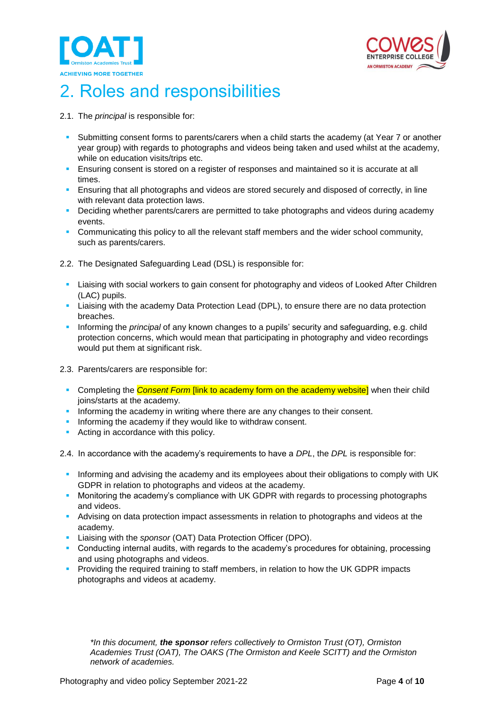



## <span id="page-3-0"></span>2. Roles and responsibilities

- 2.1. The *principal* is responsible for:
	- Submitting consent forms to parents/carers when a child starts the academy (at Year 7 or another year group) with regards to photographs and videos being taken and used whilst at the academy, while on education visits/trips etc.
	- **E** Ensuring consent is stored on a register of responses and maintained so it is accurate at all times.
	- **E** Ensuring that all photographs and videos are stored securely and disposed of correctly, in line with relevant data protection laws.
	- **Deciding whether parents/carers are permitted to take photographs and videos during academy** events.
	- **Communicating this policy to all the relevant staff members and the wider school community,** such as parents/carers.
- 2.2. The Designated Safeguarding Lead (DSL) is responsible for:
	- **EXECT** Liaising with social workers to gain consent for photography and videos of Looked After Children (LAC) pupils.
	- **EXTENDI** Liaising with the academy Data Protection Lead (DPL), to ensure there are no data protection breaches.
	- Informing the *principal* of any known changes to a pupils' security and safeguarding, e.g. child protection concerns, which would mean that participating in photography and video recordings would put them at significant risk.
- 2.3. Parents/carers are responsible for:
	- **EX Completing the** *Consent Form* **[link to academy form on the academy website]** when their child joins/starts at the academy.
	- **Informing the academy in writing where there are any changes to their consent.**
	- **.** Informing the academy if they would like to withdraw consent.
	- Acting in accordance with this policy.
- 2.4. In accordance with the academy's requirements to have a *DPL*, the *DPL* is responsible for:
	- Informing and advising the academy and its employees about their obligations to comply with UK GDPR in relation to photographs and videos at the academy.
	- Monitoring the academy's compliance with UK GDPR with regards to processing photographs and videos.
	- **EXECT** Advising on data protection impact assessments in relation to photographs and videos at the academy.
	- Liaising with the *sponsor* (OAT) Data Protection Officer (DPO).
	- Conducting internal audits, with regards to the academy's procedures for obtaining, processing and using photographs and videos.
	- **Providing the required training to staff members, in relation to how the UK GDPR impacts** photographs and videos at academy.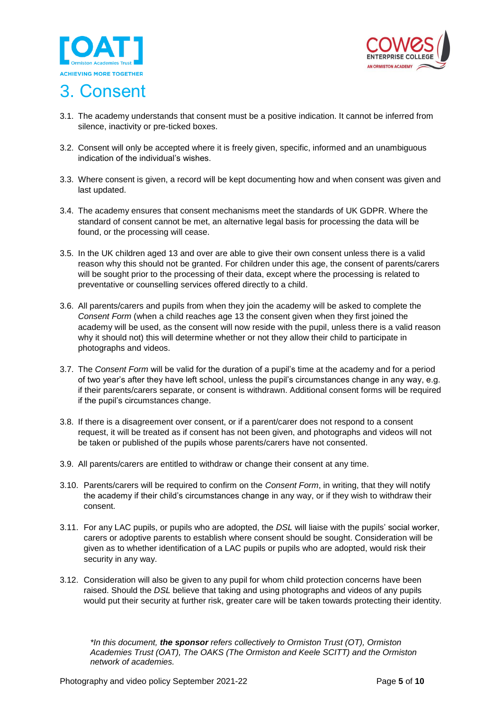



#### <span id="page-4-0"></span>3. Consent

- 3.1. The academy understands that consent must be a positive indication. It cannot be inferred from silence, inactivity or pre-ticked boxes.
- 3.2. Consent will only be accepted where it is freely given, specific, informed and an unambiguous indication of the individual's wishes.
- 3.3. Where consent is given, a record will be kept documenting how and when consent was given and last updated.
- 3.4. The academy ensures that consent mechanisms meet the standards of UK GDPR. Where the standard of consent cannot be met, an alternative legal basis for processing the data will be found, or the processing will cease.
- 3.5. In the UK children aged 13 and over are able to give their own consent unless there is a valid reason why this should not be granted. For children under this age, the consent of parents/carers will be sought prior to the processing of their data, except where the processing is related to preventative or counselling services offered directly to a child.
- 3.6. All parents/carers and pupils from when they join the academy will be asked to complete the *Consent Form* (when a child reaches age 13 the consent given when they first joined the academy will be used, as the consent will now reside with the pupil, unless there is a valid reason why it should not) this will determine whether or not they allow their child to participate in photographs and videos.
- 3.7. The *Consent Form* will be valid for the duration of a pupil's time at the academy and for a period of two year's after they have left school, unless the pupil's circumstances change in any way, e.g. if their parents/carers separate, or consent is withdrawn. Additional consent forms will be required if the pupil's circumstances change.
- 3.8. If there is a disagreement over consent, or if a parent/carer does not respond to a consent request, it will be treated as if consent has not been given, and photographs and videos will not be taken or published of the pupils whose parents/carers have not consented.
- 3.9. All parents/carers are entitled to withdraw or change their consent at any time.
- 3.10. Parents/carers will be required to confirm on the *Consent Form*, in writing, that they will notify the academy if their child's circumstances change in any way, or if they wish to withdraw their consent.
- 3.11. For any LAC pupils, or pupils who are adopted, the *DSL* will liaise with the pupils' social worker, carers or adoptive parents to establish where consent should be sought. Consideration will be given as to whether identification of a LAC pupils or pupils who are adopted, would risk their security in any way.
- 3.12. Consideration will also be given to any pupil for whom child protection concerns have been raised. Should the *DSL* believe that taking and using photographs and videos of any pupils would put their security at further risk, greater care will be taken towards protecting their identity.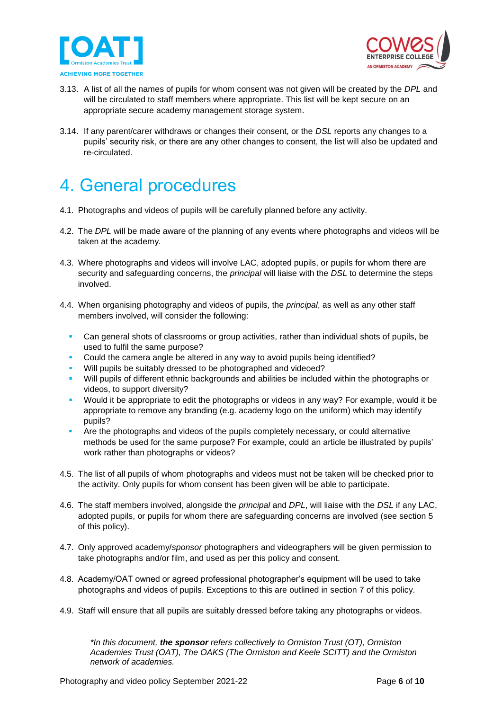



- 3.13. A list of all the names of pupils for whom consent was not given will be created by the *DPL* and will be circulated to staff members where appropriate. This list will be kept secure on an appropriate secure academy management storage system.
- 3.14. If any parent/carer withdraws or changes their consent, or the *DSL* reports any changes to a pupils' security risk, or there are any other changes to consent, the list will also be updated and re-circulated.

#### <span id="page-5-0"></span>4. General procedures

- 4.1. Photographs and videos of pupils will be carefully planned before any activity.
- 4.2. The *DPL* will be made aware of the planning of any events where photographs and videos will be taken at the academy.
- 4.3. Where photographs and videos will involve LAC, adopted pupils, or pupils for whom there are security and safeguarding concerns, the *principal* will liaise with the *DSL* to determine the steps involved.
- 4.4. When organising photography and videos of pupils, the *principal*, as well as any other staff members involved, will consider the following:
	- Can general shots of classrooms or group activities, rather than individual shots of pupils, be used to fulfil the same purpose?
	- Could the camera angle be altered in any way to avoid pupils being identified?
	- Will pupils be suitably dressed to be photographed and videoed?
	- Will pupils of different ethnic backgrounds and abilities be included within the photographs or videos, to support diversity?
	- Would it be appropriate to edit the photographs or videos in any way? For example, would it be appropriate to remove any branding (e.g. academy logo on the uniform) which may identify pupils?
	- **•** Are the photographs and videos of the pupils completely necessary, or could alternative methods be used for the same purpose? For example, could an article be illustrated by pupils' work rather than photographs or videos?
- 4.5. The list of all pupils of whom photographs and videos must not be taken will be checked prior to the activity. Only pupils for whom consent has been given will be able to participate.
- 4.6. The staff members involved, alongside the *principal* and *DPL*, will liaise with the *DSL* if any LAC, adopted pupils, or pupils for whom there are safeguarding concerns are involved (see section 5 of this policy).
- 4.7. Only approved academy/*sponsor* photographers and videographers will be given permission to take photographs and/or film, and used as per this policy and consent.
- 4.8. Academy/OAT owned or agreed professional photographer's equipment will be used to take photographs and videos of pupils. Exceptions to this are outlined in section 7 of this policy.
- 4.9. Staff will ensure that all pupils are suitably dressed before taking any photographs or videos.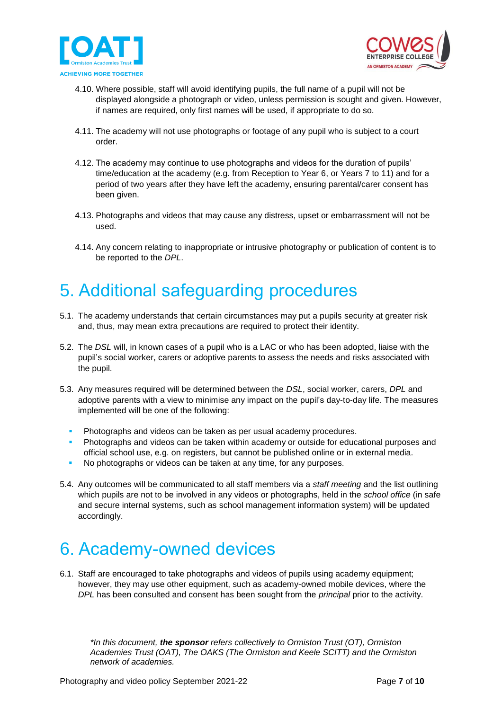



- 4.10. Where possible, staff will avoid identifying pupils, the full name of a pupil will not be displayed alongside a photograph or video, unless permission is sought and given. However, if names are required, only first names will be used, if appropriate to do so.
- 4.11. The academy will not use photographs or footage of any pupil who is subject to a court order.
- 4.12. The academy may continue to use photographs and videos for the duration of pupils' time/education at the academy (e.g. from Reception to Year 6, or Years 7 to 11) and for a period of two years after they have left the academy, ensuring parental/carer consent has been given.
- 4.13. Photographs and videos that may cause any distress, upset or embarrassment will not be used.
- 4.14. Any concern relating to inappropriate or intrusive photography or publication of content is to be reported to the *DPL*.

#### <span id="page-6-0"></span>5. Additional safeguarding procedures

- 5.1. The academy understands that certain circumstances may put a pupils security at greater risk and, thus, may mean extra precautions are required to protect their identity.
- 5.2. The *DSL* will, in known cases of a pupil who is a LAC or who has been adopted, liaise with the pupil's social worker, carers or adoptive parents to assess the needs and risks associated with the pupil.
- 5.3. Any measures required will be determined between the *DSL*, social worker, carers, *DPL* and adoptive parents with a view to minimise any impact on the pupil's day-to-day life. The measures implemented will be one of the following:
	- Photographs and videos can be taken as per usual academy procedures.
	- Photographs and videos can be taken within academy or outside for educational purposes and official school use, e.g. on registers, but cannot be published online or in external media.
	- No photographs or videos can be taken at any time, for any purposes.
- 5.4. Any outcomes will be communicated to all staff members via a *staff meeting* and the list outlining which pupils are not to be involved in any videos or photographs, held in the *school office* (in safe and secure internal systems, such as school management information system) will be updated accordingly.

### <span id="page-6-1"></span>6. Academy-owned devices

6.1. Staff are encouraged to take photographs and videos of pupils using academy equipment; however, they may use other equipment, such as academy-owned mobile devices, where the *DPL* has been consulted and consent has been sought from the *principal* prior to the activity.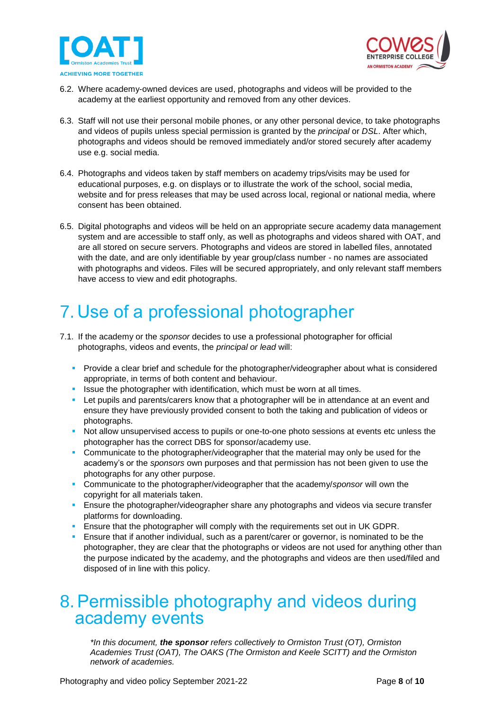



- 6.2. Where academy-owned devices are used, photographs and videos will be provided to the academy at the earliest opportunity and removed from any other devices.
- 6.3. Staff will not use their personal mobile phones, or any other personal device, to take photographs and videos of pupils unless special permission is granted by the *principal* or *DSL*. After which, photographs and videos should be removed immediately and/or stored securely after academy use e.g. social media.
- 6.4. Photographs and videos taken by staff members on academy trips/visits may be used for educational purposes, e.g. on displays or to illustrate the work of the school, social media, website and for press releases that may be used across local, regional or national media, where consent has been obtained.
- 6.5. Digital photographs and videos will be held on an appropriate secure academy data management system and are accessible to staff only, as well as photographs and videos shared with OAT, and are all stored on secure servers. Photographs and videos are stored in labelled files, annotated with the date, and are only identifiable by year group/class number - no names are associated with photographs and videos. Files will be secured appropriately, and only relevant staff members have access to view and edit photographs.

# <span id="page-7-0"></span>7. Use of a professional photographer

- 7.1. If the academy or the *sponsor* decides to use a professional photographer for official photographs, videos and events, the *principal or lead* will:
	- Provide a clear brief and schedule for the photographer/videographer about what is considered appropriate, in terms of both content and behaviour.
	- **EXECT** Issue the photographer with identification, which must be worn at all times.
	- **•** Let pupils and parents/carers know that a photographer will be in attendance at an event and ensure they have previously provided consent to both the taking and publication of videos or photographs.
	- Not allow unsupervised access to pupils or one-to-one photo sessions at events etc unless the photographer has the correct DBS for sponsor/academy use.
	- **Communicate to the photographer/videographer that the material may only be used for the** academy's or the *sponsors* own purposes and that permission has not been given to use the photographs for any other purpose.
	- Communicate to the photographer/videographer that the academy/*sponsor* will own the copyright for all materials taken.
	- **Ensure the photographer/videographer share any photographs and videos via secure transfer** platforms for downloading.
	- **E** Ensure that the photographer will comply with the requirements set out in UK GDPR.
	- **E** Ensure that if another individual, such as a parent/carer or governor, is nominated to be the photographer, they are clear that the photographs or videos are not used for anything other than the purpose indicated by the academy, and the photographs and videos are then used/filed and disposed of in line with this policy.

#### <span id="page-7-1"></span>8.Permissible photography and videos during academy events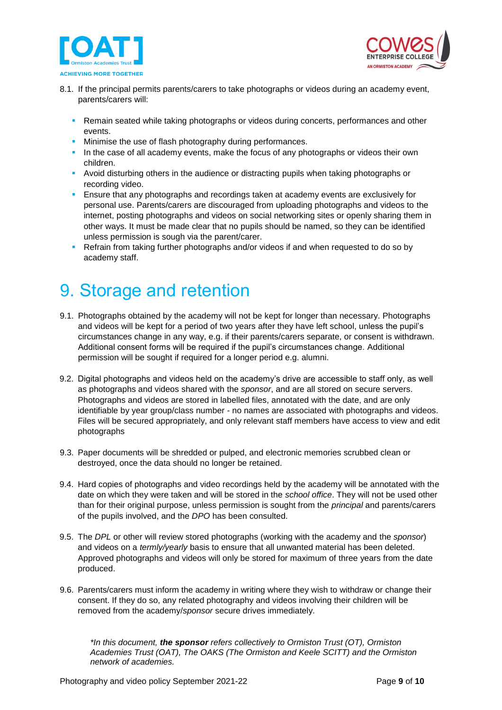



- 8.1. If the principal permits parents/carers to take photographs or videos during an academy event, parents/carers will:
	- **Remain seated while taking photographs or videos during concerts, performances and other** events.
	- **EXEDENT** Minimise the use of flash photography during performances.
	- **.** In the case of all academy events, make the focus of any photographs or videos their own children.
	- Avoid disturbing others in the audience or distracting pupils when taking photographs or recording video.
	- **E** Ensure that any photographs and recordings taken at academy events are exclusively for personal use. Parents/carers are discouraged from uploading photographs and videos to the internet, posting photographs and videos on social networking sites or openly sharing them in other ways. It must be made clear that no pupils should be named, so they can be identified unless permission is sough via the parent/carer.
	- Refrain from taking further photographs and/or videos if and when requested to do so by academy staff.

#### <span id="page-8-0"></span>9. Storage and retention

- 9.1. Photographs obtained by the academy will not be kept for longer than necessary. Photographs and videos will be kept for a period of two years after they have left school, unless the pupil's circumstances change in any way, e.g. if their parents/carers separate, or consent is withdrawn. Additional consent forms will be required if the pupil's circumstances change. Additional permission will be sought if required for a longer period e.g. alumni.
- 9.2. Digital photographs and videos held on the academy's drive are accessible to staff only, as well as photographs and videos shared with the *sponsor*, and are all stored on secure servers. Photographs and videos are stored in labelled files, annotated with the date, and are only identifiable by year group/class number - no names are associated with photographs and videos. Files will be secured appropriately, and only relevant staff members have access to view and edit photographs
- 9.3. Paper documents will be shredded or pulped, and electronic memories scrubbed clean or destroyed, once the data should no longer be retained.
- 9.4. Hard copies of photographs and video recordings held by the academy will be annotated with the date on which they were taken and will be stored in the *school office*. They will not be used other than for their original purpose, unless permission is sought from the *principal* and parents/carers of the pupils involved, and the *DPO* has been consulted.
- 9.5. The *DPL* or other will review stored photographs (working with the academy and the *sponsor*) and videos on a *termly/yearly* basis to ensure that all unwanted material has been deleted. Approved photographs and videos will only be stored for maximum of three years from the date produced.
- 9.6. Parents/carers must inform the academy in writing where they wish to withdraw or change their consent. If they do so, any related photography and videos involving their children will be removed from the academy/*sponsor* secure drives immediately.